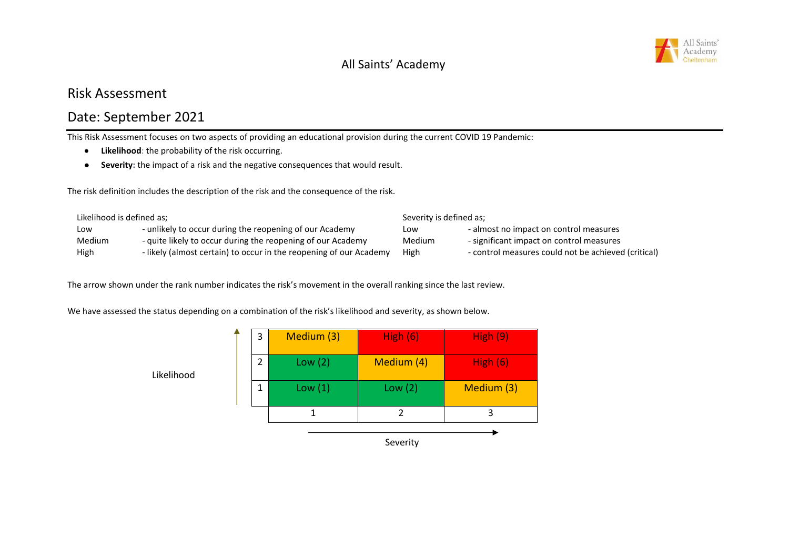

# Risk Assessment

# Date: September 2021

This Risk Assessment focuses on two aspects of providing an educational provision during the current COVID 19 Pandemic:

- **Likelihood**: the probability of the risk occurring.
- **Severity:** the impact of a risk and the negative consequences that would result.

The risk definition includes the description of the risk and the consequence of the risk.

| Likelihood is defined as: |                                                                    | Severity is defined as: |                                                     |
|---------------------------|--------------------------------------------------------------------|-------------------------|-----------------------------------------------------|
| Low                       | - unlikely to occur during the reopening of our Academy            | Low                     | - almost no impact on control measures              |
| Medium                    | - quite likely to occur during the reopening of our Academy        | Medium                  | - significant impact on control measures            |
| High                      | - likely (almost certain) to occur in the reopening of our Academy | High                    | - control measures could not be achieved (critical) |

The arrow shown under the rank number indicates the risk's movement in the overall ranking since the last review.

We have assessed the status depending on a combination of the risk's likelihood and severity, as shown below.

| 3              | Medium (3) | High $(6)$ | <b>High (9)</b> |
|----------------|------------|------------|-----------------|
| $\mathfrak{D}$ | Low $(2)$  | Medium (4) | High $(6)$      |
|                | Low(1)     | Low $(2)$  | Medium (3)      |
|                |            |            | 3               |
|                |            |            |                 |

Likelihood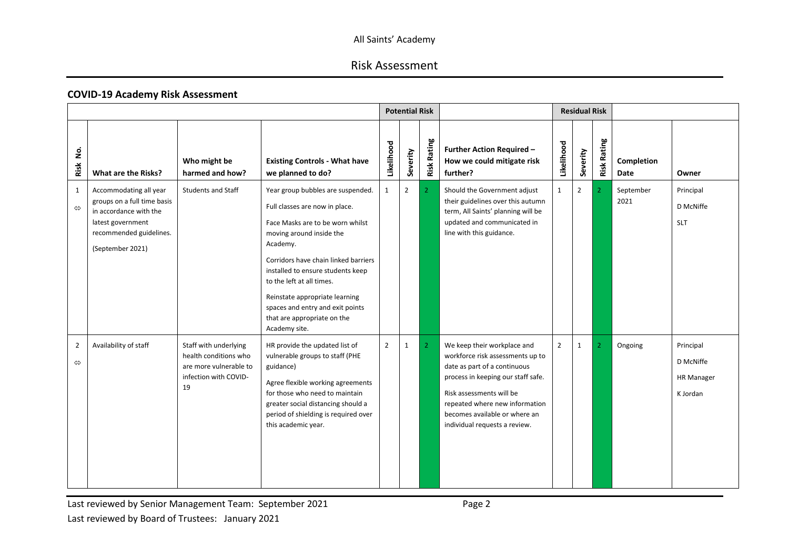# Risk Assessment

#### **COVID-19 Academy Risk Assessment**

|                                     |                                                                                                                                                     |                                                                                                         |                                                                                                                                                                                                                                                                                                                                                                                 |                | <b>Potential Risk</b> |                    |                                                                                                                                                                                                                                                                       |              | <b>Residual Risk</b> |                    |                           |                                                         |
|-------------------------------------|-----------------------------------------------------------------------------------------------------------------------------------------------------|---------------------------------------------------------------------------------------------------------|---------------------------------------------------------------------------------------------------------------------------------------------------------------------------------------------------------------------------------------------------------------------------------------------------------------------------------------------------------------------------------|----------------|-----------------------|--------------------|-----------------------------------------------------------------------------------------------------------------------------------------------------------------------------------------------------------------------------------------------------------------------|--------------|----------------------|--------------------|---------------------------|---------------------------------------------------------|
| .<br>2<br>Risk                      | What are the Risks?                                                                                                                                 | Who might be<br>harmed and how?                                                                         | <b>Existing Controls - What have</b><br>we planned to do?                                                                                                                                                                                                                                                                                                                       | Likelihood     | Severity              | <b>Risk Rating</b> | <b>Further Action Required -</b><br>How we could mitigate risk<br>further?                                                                                                                                                                                            | Likelihood   | Severity             | <b>Risk Rating</b> | Completion<br><b>Date</b> | Owner                                                   |
| 1<br>$\Leftrightarrow$              | Accommodating all year<br>groups on a full time basis<br>in accordance with the<br>latest government<br>recommended guidelines.<br>(September 2021) | <b>Students and Staff</b>                                                                               | Year group bubbles are suspended.<br>Full classes are now in place.<br>Face Masks are to be worn whilst<br>moving around inside the<br>Academy.<br>Corridors have chain linked barriers<br>installed to ensure students keep<br>to the left at all times.<br>Reinstate appropriate learning<br>spaces and entry and exit points<br>that are appropriate on the<br>Academy site. | $\mathbf{1}$   | $\overline{2}$        | 2 <sup>1</sup>     | Should the Government adjust<br>their guidelines over this autumn<br>term, All Saints' planning will be<br>updated and communicated in<br>line with this guidance.                                                                                                    | $\mathbf{1}$ | $\overline{2}$       | $\mathcal{P}$      | September<br>2021         | Principal<br>D McNiffe<br><b>SLT</b>                    |
| $\overline{2}$<br>$\Leftrightarrow$ | Availability of staff                                                                                                                               | Staff with underlying<br>health conditions who<br>are more vulnerable to<br>infection with COVID-<br>19 | HR provide the updated list of<br>vulnerable groups to staff (PHE<br>guidance)<br>Agree flexible working agreements<br>for those who need to maintain<br>greater social distancing should a<br>period of shielding is required over<br>this academic year.                                                                                                                      | $\overline{2}$ | $\mathbf{1}$          | $\overline{2}$     | We keep their workplace and<br>workforce risk assessments up to<br>date as part of a continuous<br>process in keeping our staff safe.<br>Risk assessments will be<br>repeated where new information<br>becomes available or where an<br>individual requests a review. | $2^{\circ}$  | 1                    | 2                  | Ongoing                   | Principal<br>D McNiffe<br><b>HR Manager</b><br>K Jordan |

Last reviewed by Senior Management Team: September 2021 **Page 2** Page 2 Last reviewed by Board of Trustees: January 2021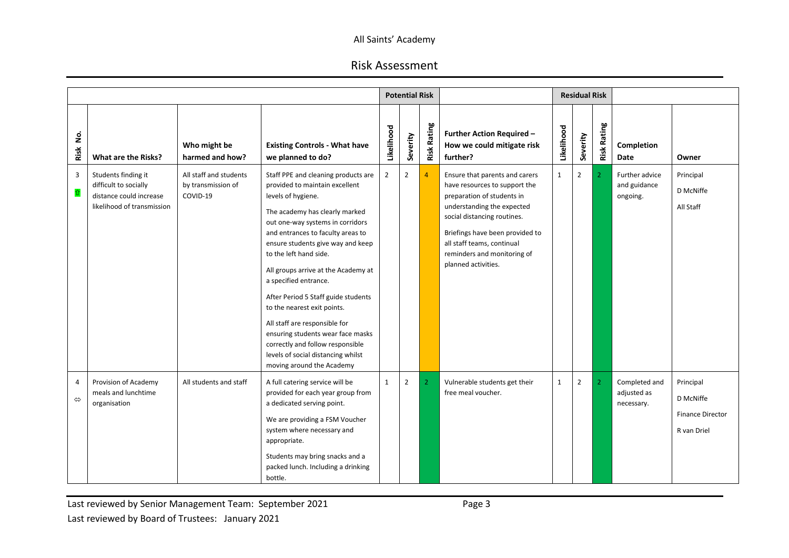|                                     |                                                                                                       |                                                          |                                                                                                                                                                                                                                                                                                                                                                                                                                                                                                                                                                                          |                | <b>Potential Risk</b> |                    |                                                                                                                                                                                                                                                                                   |              | <b>Residual Risk</b> |                    |                                            |                                                                  |
|-------------------------------------|-------------------------------------------------------------------------------------------------------|----------------------------------------------------------|------------------------------------------------------------------------------------------------------------------------------------------------------------------------------------------------------------------------------------------------------------------------------------------------------------------------------------------------------------------------------------------------------------------------------------------------------------------------------------------------------------------------------------------------------------------------------------------|----------------|-----------------------|--------------------|-----------------------------------------------------------------------------------------------------------------------------------------------------------------------------------------------------------------------------------------------------------------------------------|--------------|----------------------|--------------------|--------------------------------------------|------------------------------------------------------------------|
| .<br>S<br>Risk                      | What are the Risks?                                                                                   | Who might be<br>harmed and how?                          | <b>Existing Controls - What have</b><br>we planned to do?                                                                                                                                                                                                                                                                                                                                                                                                                                                                                                                                | Likelihood     | Severity              | <b>Risk Rating</b> | <b>Further Action Required -</b><br>How we could mitigate risk<br>further?                                                                                                                                                                                                        | Likelihood   | Severity             | <b>Risk Rating</b> | Completion<br>Date                         | Owner                                                            |
| $\overline{3}$<br>仓                 | Students finding it<br>difficult to socially<br>distance could increase<br>likelihood of transmission | All staff and students<br>by transmission of<br>COVID-19 | Staff PPE and cleaning products are<br>provided to maintain excellent<br>levels of hygiene.<br>The academy has clearly marked<br>out one-way systems in corridors<br>and entrances to faculty areas to<br>ensure students give way and keep<br>to the left hand side.<br>All groups arrive at the Academy at<br>a specified entrance.<br>After Period 5 Staff guide students<br>to the nearest exit points.<br>All staff are responsible for<br>ensuring students wear face masks<br>correctly and follow responsible<br>levels of social distancing whilst<br>moving around the Academy | $\overline{2}$ | $\overline{2}$        | $\overline{4}$     | Ensure that parents and carers<br>have resources to support the<br>preparation of students in<br>understanding the expected<br>social distancing routines.<br>Briefings have been provided to<br>all staff teams, continual<br>reminders and monitoring of<br>planned activities. | $\mathbf{1}$ | $\overline{2}$       | $\mathcal{P}$      | Further advice<br>and guidance<br>ongoing. | Principal<br>D McNiffe<br>All Staff                              |
| $\overline{4}$<br>$\Leftrightarrow$ | Provision of Academy<br>meals and lunchtime<br>organisation                                           | All students and staff                                   | A full catering service will be<br>provided for each year group from<br>a dedicated serving point.<br>We are providing a FSM Voucher<br>system where necessary and<br>appropriate.<br>Students may bring snacks and a<br>packed lunch. Including a drinking<br>bottle.                                                                                                                                                                                                                                                                                                                   | $\mathbf{1}$   | $\overline{2}$        | $\overline{2}$     | Vulnerable students get their<br>free meal voucher.                                                                                                                                                                                                                               | $\mathbf{1}$ | $\overline{2}$       | $\overline{2}$     | Completed and<br>adjusted as<br>necessary. | Principal<br>D McNiffe<br><b>Finance Director</b><br>R van Driel |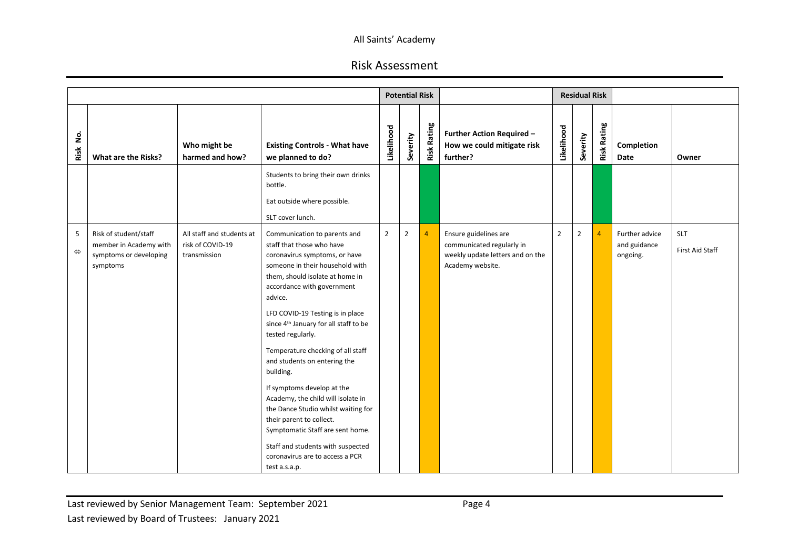|                        |                                                                                       |                                                               |                                                                                                                                                                                                                                                                                                                                                                                                                                                                                                                                                                                                                                                                               |                | <b>Potential Risk</b> |                    |                                                                                                            |                | <b>Residual Risk</b> |                    |                                            |                               |
|------------------------|---------------------------------------------------------------------------------------|---------------------------------------------------------------|-------------------------------------------------------------------------------------------------------------------------------------------------------------------------------------------------------------------------------------------------------------------------------------------------------------------------------------------------------------------------------------------------------------------------------------------------------------------------------------------------------------------------------------------------------------------------------------------------------------------------------------------------------------------------------|----------------|-----------------------|--------------------|------------------------------------------------------------------------------------------------------------|----------------|----------------------|--------------------|--------------------------------------------|-------------------------------|
| .<br>2<br>Risk         | What are the Risks?                                                                   | Who might be<br>harmed and how?                               | <b>Existing Controls - What have</b><br>we planned to do?                                                                                                                                                                                                                                                                                                                                                                                                                                                                                                                                                                                                                     | Likelihood     | Severity              | <b>Risk Rating</b> | Further Action Required -<br>How we could mitigate risk<br>further?                                        | Likelihood     | Severity             | <b>Risk Rating</b> | Completion<br>Date                         | Owner                         |
|                        |                                                                                       |                                                               | Students to bring their own drinks<br>bottle.<br>Eat outside where possible.<br>SLT cover lunch.                                                                                                                                                                                                                                                                                                                                                                                                                                                                                                                                                                              |                |                       |                    |                                                                                                            |                |                      |                    |                                            |                               |
| 5<br>$\Leftrightarrow$ | Risk of student/staff<br>member in Academy with<br>symptoms or developing<br>symptoms | All staff and students at<br>risk of COVID-19<br>transmission | Communication to parents and<br>staff that those who have<br>coronavirus symptoms, or have<br>someone in their household with<br>them, should isolate at home in<br>accordance with government<br>advice.<br>LFD COVID-19 Testing is in place<br>since 4 <sup>th</sup> January for all staff to be<br>tested regularly.<br>Temperature checking of all staff<br>and students on entering the<br>building.<br>If symptoms develop at the<br>Academy, the child will isolate in<br>the Dance Studio whilst waiting for<br>their parent to collect.<br>Symptomatic Staff are sent home.<br>Staff and students with suspected<br>coronavirus are to access a PCR<br>test a.s.a.p. | $\overline{2}$ | $\overline{2}$        | $\overline{4}$     | Ensure guidelines are<br>communicated regularly in<br>weekly update letters and on the<br>Academy website. | $\overline{2}$ | $\overline{2}$       | $\overline{4}$     | Further advice<br>and guidance<br>ongoing. | <b>SLT</b><br>First Aid Staff |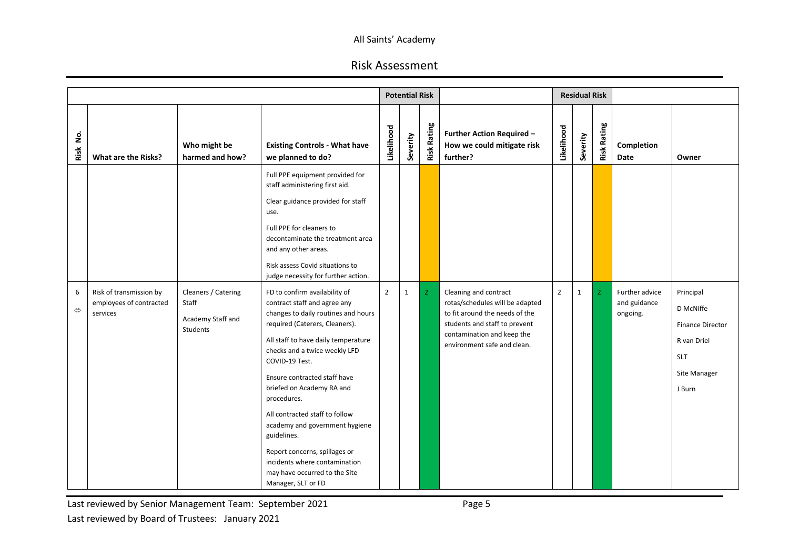# Risk Assessment

|                            |                                                                |                                                                      |                                                                                                                                                                                                                                                                                                                                                                                                                                                                                                                          |                | <b>Potential Risk</b> |                    |                                                                                                                                                                                          |                | <b>Residual Risk</b> |                    |                                            |                                                                                                          |
|----------------------------|----------------------------------------------------------------|----------------------------------------------------------------------|--------------------------------------------------------------------------------------------------------------------------------------------------------------------------------------------------------------------------------------------------------------------------------------------------------------------------------------------------------------------------------------------------------------------------------------------------------------------------------------------------------------------------|----------------|-----------------------|--------------------|------------------------------------------------------------------------------------------------------------------------------------------------------------------------------------------|----------------|----------------------|--------------------|--------------------------------------------|----------------------------------------------------------------------------------------------------------|
| $\dot{\mathsf{z}}$<br>Risk | What are the Risks?                                            | Who might be<br>harmed and how?                                      | <b>Existing Controls - What have</b><br>we planned to do?                                                                                                                                                                                                                                                                                                                                                                                                                                                                | Likelihood     | Severity              | <b>Risk Rating</b> | <b>Further Action Required -</b><br>How we could mitigate risk<br>further?                                                                                                               | Likelihood     | Severity             | <b>Risk Rating</b> | Completion<br>Date                         | Owner                                                                                                    |
|                            |                                                                |                                                                      | Full PPE equipment provided for<br>staff administering first aid.<br>Clear guidance provided for staff<br>use.<br>Full PPE for cleaners to<br>decontaminate the treatment area<br>and any other areas.<br>Risk assess Covid situations to<br>judge necessity for further action.                                                                                                                                                                                                                                         |                |                       |                    |                                                                                                                                                                                          |                |                      |                    |                                            |                                                                                                          |
| 6<br>$\Leftrightarrow$     | Risk of transmission by<br>employees of contracted<br>services | Cleaners / Catering<br>Staff<br>Academy Staff and<br><b>Students</b> | FD to confirm availability of<br>contract staff and agree any<br>changes to daily routines and hours<br>required (Caterers, Cleaners).<br>All staff to have daily temperature<br>checks and a twice weekly LFD<br>COVID-19 Test.<br>Ensure contracted staff have<br>briefed on Academy RA and<br>procedures.<br>All contracted staff to follow<br>academy and government hygiene<br>guidelines.<br>Report concerns, spillages or<br>incidents where contamination<br>may have occurred to the Site<br>Manager, SLT or FD | $\overline{2}$ | $\mathbf 1$           | $\overline{2}$     | Cleaning and contract<br>rotas/schedules will be adapted<br>to fit around the needs of the<br>students and staff to prevent<br>contamination and keep the<br>environment safe and clean. | $\overline{2}$ | $\mathbf{1}$         | $\overline{2}$     | Further advice<br>and guidance<br>ongoing. | Principal<br>D McNiffe<br><b>Finance Director</b><br>R van Driel<br><b>SLT</b><br>Site Manager<br>J Burn |

Last reviewed by Senior Management Team: September 2021 **Page 5** Last reviewed by Board of Trustees: January 2021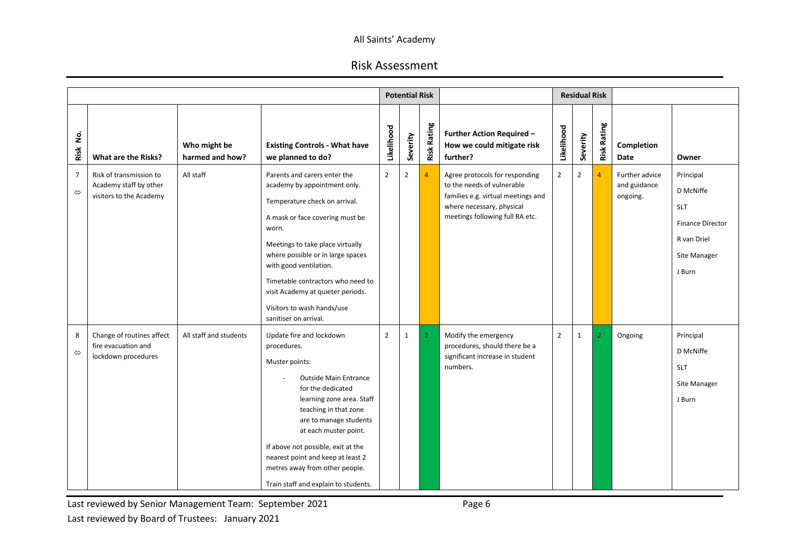# Risk Assessment

|                                     |                                                                              |                                 |                                                                                                                                                                                                                                                                                                                                                                               |                | <b>Potential Risk</b> |                    |                                                                                                                                                                    |                | <b>Residual Risk</b> |                    |                                            |                                                                                                          |
|-------------------------------------|------------------------------------------------------------------------------|---------------------------------|-------------------------------------------------------------------------------------------------------------------------------------------------------------------------------------------------------------------------------------------------------------------------------------------------------------------------------------------------------------------------------|----------------|-----------------------|--------------------|--------------------------------------------------------------------------------------------------------------------------------------------------------------------|----------------|----------------------|--------------------|--------------------------------------------|----------------------------------------------------------------------------------------------------------|
| <u>ş</u><br>Risk                    | What are the Risks?                                                          | Who might be<br>harmed and how? | <b>Existing Controls - What have</b><br>we planned to do?                                                                                                                                                                                                                                                                                                                     | Likelihood     | Severity              | <b>Risk Rating</b> | <b>Further Action Required -</b><br>How we could mitigate risk<br>further?                                                                                         | Likelihood     | Severity             | <b>Risk Rating</b> | Completion<br><b>Date</b>                  | Owner                                                                                                    |
| $\overline{7}$<br>$\Leftrightarrow$ | Risk of transmission to<br>Academy staff by other<br>visitors to the Academy | All staff                       | Parents and carers enter the<br>academy by appointment only.<br>Temperature check on arrival.<br>A mask or face covering must be<br>worn.<br>Meetings to take place virtually<br>where possible or in large spaces<br>with good ventilation.<br>Timetable contractors who need to<br>visit Academy at quieter periods.<br>Visitors to wash hands/use<br>sanitiser on arrival. | $\overline{2}$ | $\overline{2}$        | $\overline{4}$     | Agree protocols for responding<br>to the needs of vulnerable<br>families e.g. virtual meetings and<br>where necessary, physical<br>meetings following full RA etc. | $\overline{2}$ | $\overline{2}$       | $\overline{4}$     | Further advice<br>and guidance<br>ongoing. | Principal<br>D McNiffe<br><b>SLT</b><br><b>Finance Director</b><br>R van Driel<br>Site Manager<br>J Burn |
| 8<br>$\Leftrightarrow$              | Change of routines affect<br>fire evacuation and<br>lockdown procedures      | All staff and students          | Update fire and lockdown<br>procedures.<br>Muster points:<br><b>Outside Main Entrance</b><br>for the dedicated<br>learning zone area. Staff<br>teaching in that zone<br>are to manage students<br>at each muster point.<br>If above not possible, exit at the<br>nearest point and keep at least 2<br>metres away from other people.<br>Train staff and explain to students.  | $\overline{2}$ | $\mathbf{1}$          | $\overline{2}$     | Modify the emergency<br>procedures, should there be a<br>significant increase in student<br>numbers.                                                               | $\overline{2}$ | $\mathbf{1}$         | 2                  | Ongoing                                    | Principal<br>D McNiffe<br><b>SLT</b><br>Site Manager<br>J Burn                                           |

Last reviewed by Senior Management Team: September 2021 **First** Page 6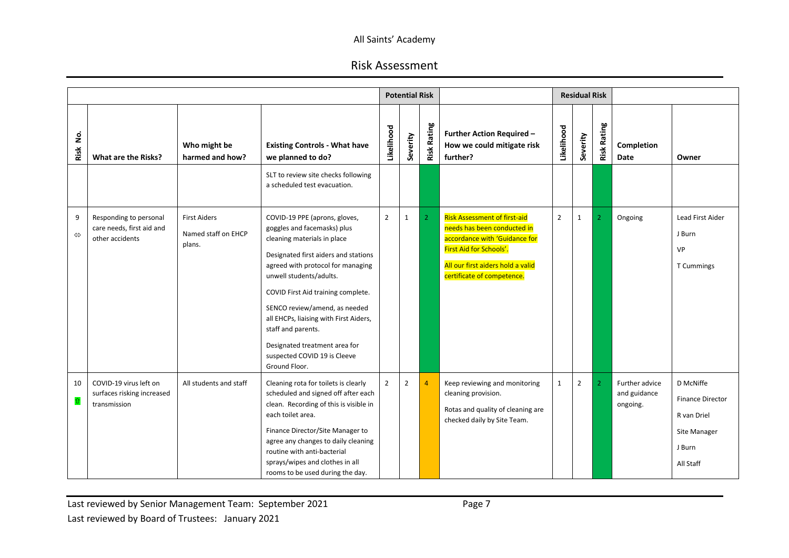|                        |                                                                        |                                                      |                                                                                                                                                                                                                                                                                                                                                                                                                              |                | <b>Potential Risk</b> |                    |                                                                                                                                                                                                   |                | <b>Residual Risk</b> |                    |                                            |                                                                                            |
|------------------------|------------------------------------------------------------------------|------------------------------------------------------|------------------------------------------------------------------------------------------------------------------------------------------------------------------------------------------------------------------------------------------------------------------------------------------------------------------------------------------------------------------------------------------------------------------------------|----------------|-----------------------|--------------------|---------------------------------------------------------------------------------------------------------------------------------------------------------------------------------------------------|----------------|----------------------|--------------------|--------------------------------------------|--------------------------------------------------------------------------------------------|
| ş.<br>Risk             | <b>What are the Risks?</b>                                             | Who might be<br>harmed and how?                      | <b>Existing Controls - What have</b><br>we planned to do?                                                                                                                                                                                                                                                                                                                                                                    | Likelihood     | Severity              | <b>Risk Rating</b> | <b>Further Action Required -</b><br>How we could mitigate risk<br>further?                                                                                                                        | Likelihood     | everity              | <b>Risk Rating</b> | Completion<br>Date                         | Owner                                                                                      |
|                        |                                                                        |                                                      | SLT to review site checks following<br>a scheduled test evacuation.                                                                                                                                                                                                                                                                                                                                                          |                |                       |                    |                                                                                                                                                                                                   |                |                      |                    |                                            |                                                                                            |
| 9<br>$\Leftrightarrow$ | Responding to personal<br>care needs, first aid and<br>other accidents | <b>First Aiders</b><br>Named staff on EHCP<br>plans. | COVID-19 PPE (aprons, gloves,<br>goggles and facemasks) plus<br>cleaning materials in place<br>Designated first aiders and stations<br>agreed with protocol for managing<br>unwell students/adults.<br>COVID First Aid training complete.<br>SENCO review/amend, as needed<br>all EHCPs, liaising with First Aiders,<br>staff and parents.<br>Designated treatment area for<br>suspected COVID 19 is Cleeve<br>Ground Floor. | $\overline{2}$ | $\mathbf{1}$          | $\overline{2}$     | <b>Risk Assessment of first-aid</b><br>needs has been conducted in<br>accordance with 'Guidance for<br>First Aid for Schools'.<br>All our first aiders hold a valid<br>certificate of competence. | $\overline{2}$ | $\mathbf{1}$         | 2                  | Ongoing                                    | Lead First Aider<br>J Burn<br>VP<br>T Cummings                                             |
| 10<br>$\hat{u}$        | COVID-19 virus left on<br>surfaces risking increased<br>transmission   | All students and staff                               | Cleaning rota for toilets is clearly<br>scheduled and signed off after each<br>clean. Recording of this is visible in<br>each toilet area.<br>Finance Director/Site Manager to<br>agree any changes to daily cleaning<br>routine with anti-bacterial<br>sprays/wipes and clothes in all<br>rooms to be used during the day.                                                                                                  | $\overline{2}$ | $\overline{2}$        | $\overline{4}$     | Keep reviewing and monitoring<br>cleaning provision.<br>Rotas and quality of cleaning are<br>checked daily by Site Team.                                                                          | $\mathbf{1}$   | $\overline{2}$       | $\mathcal{P}$      | Further advice<br>and guidance<br>ongoing. | D McNiffe<br><b>Finance Director</b><br>R van Driel<br>Site Manager<br>J Burn<br>All Staff |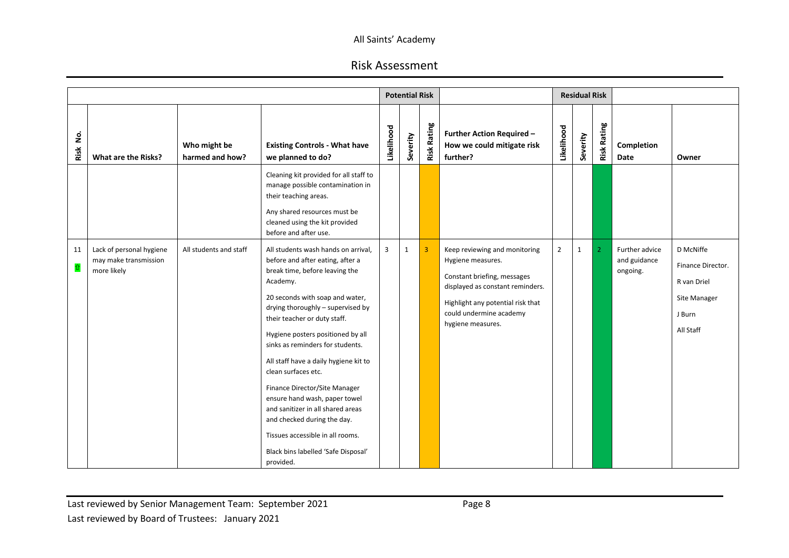|                  |                                                                  |                                 |                                                                                                                                                                                                                                                                                                                                                                                                                                                                                                                                                                                                      |            | <b>Potential Risk</b> |                    |                                                                                                                                                                                                            |                | <b>Residual Risk</b> |                    |                                            |                                                                                      |
|------------------|------------------------------------------------------------------|---------------------------------|------------------------------------------------------------------------------------------------------------------------------------------------------------------------------------------------------------------------------------------------------------------------------------------------------------------------------------------------------------------------------------------------------------------------------------------------------------------------------------------------------------------------------------------------------------------------------------------------------|------------|-----------------------|--------------------|------------------------------------------------------------------------------------------------------------------------------------------------------------------------------------------------------------|----------------|----------------------|--------------------|--------------------------------------------|--------------------------------------------------------------------------------------|
| <u>o</u><br>Risk | What are the Risks?                                              | Who might be<br>harmed and how? | <b>Existing Controls - What have</b><br>we planned to do?                                                                                                                                                                                                                                                                                                                                                                                                                                                                                                                                            | Likelihood | Severity              | <b>Risk Rating</b> | <b>Further Action Required -</b><br>How we could mitigate risk<br>further?                                                                                                                                 | Likelihood     | Severity             | <b>Risk Rating</b> | Completion<br>Date                         | Owner                                                                                |
|                  |                                                                  |                                 | Cleaning kit provided for all staff to<br>manage possible contamination in<br>their teaching areas.<br>Any shared resources must be<br>cleaned using the kit provided<br>before and after use.                                                                                                                                                                                                                                                                                                                                                                                                       |            |                       |                    |                                                                                                                                                                                                            |                |                      |                    |                                            |                                                                                      |
| 11<br>$\hat{u}$  | Lack of personal hygiene<br>may make transmission<br>more likely | All students and staff          | All students wash hands on arrival,<br>before and after eating, after a<br>break time, before leaving the<br>Academy.<br>20 seconds with soap and water,<br>drying thoroughly - supervised by<br>their teacher or duty staff.<br>Hygiene posters positioned by all<br>sinks as reminders for students.<br>All staff have a daily hygiene kit to<br>clean surfaces etc.<br>Finance Director/Site Manager<br>ensure hand wash, paper towel<br>and sanitizer in all shared areas<br>and checked during the day.<br>Tissues accessible in all rooms.<br>Black bins labelled 'Safe Disposal'<br>provided. | 3          | $\mathbf{1}$          | $\overline{3}$     | Keep reviewing and monitoring<br>Hygiene measures.<br>Constant briefing, messages<br>displayed as constant reminders.<br>Highlight any potential risk that<br>could undermine academy<br>hygiene measures. | $\overline{2}$ | $\mathbf{1}$         | $\overline{2}$     | Further advice<br>and guidance<br>ongoing. | D McNiffe<br>Finance Director.<br>R van Driel<br>Site Manager<br>J Burn<br>All Staff |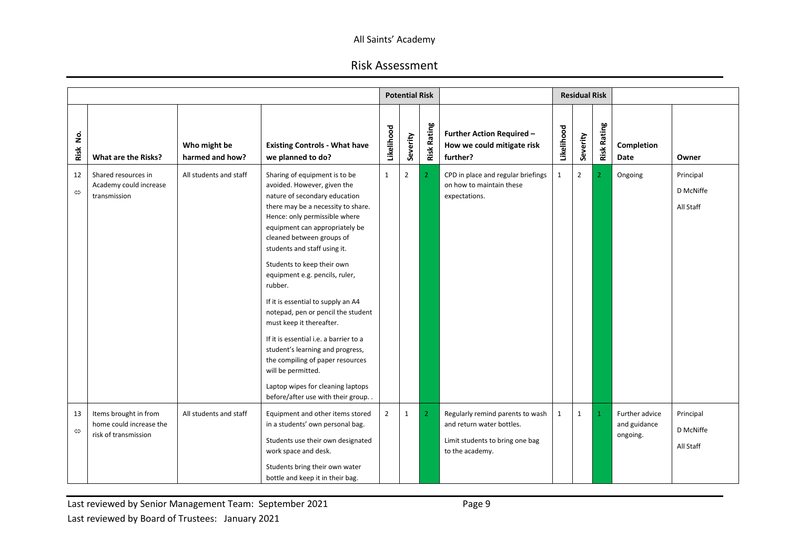|                         |                                                                          |                                 |                                                                                                                                                                                                                                                                                                                                                                                                                                                                                                                                                                                                                                                                          |                | <b>Potential Risk</b> |                    |                                                                                                                     |              | <b>Residual Risk</b> |                    |                                            |                                     |
|-------------------------|--------------------------------------------------------------------------|---------------------------------|--------------------------------------------------------------------------------------------------------------------------------------------------------------------------------------------------------------------------------------------------------------------------------------------------------------------------------------------------------------------------------------------------------------------------------------------------------------------------------------------------------------------------------------------------------------------------------------------------------------------------------------------------------------------------|----------------|-----------------------|--------------------|---------------------------------------------------------------------------------------------------------------------|--------------|----------------------|--------------------|--------------------------------------------|-------------------------------------|
| غ<br>2<br>Risk          | What are the Risks?                                                      | Who might be<br>harmed and how? | <b>Existing Controls - What have</b><br>we planned to do?                                                                                                                                                                                                                                                                                                                                                                                                                                                                                                                                                                                                                | Likelihood     | Severity              | <b>Risk Rating</b> | <b>Further Action Required -</b><br>How we could mitigate risk<br>further?                                          | Likelihood   | Severity             | <b>Risk Rating</b> | Completion<br>Date                         | Owner                               |
| 12<br>⇔                 | Shared resources in<br>Academy could increase<br>transmission            | All students and staff          | Sharing of equipment is to be<br>avoided. However, given the<br>nature of secondary education<br>there may be a necessity to share.<br>Hence: only permissible where<br>equipment can appropriately be<br>cleaned between groups of<br>students and staff using it.<br>Students to keep their own<br>equipment e.g. pencils, ruler,<br>rubber.<br>If it is essential to supply an A4<br>notepad, pen or pencil the student<br>must keep it thereafter.<br>If it is essential i.e. a barrier to a<br>student's learning and progress,<br>the compiling of paper resources<br>will be permitted.<br>Laptop wipes for cleaning laptops<br>before/after use with their group | $\mathbf{1}$   | $\overline{2}$        | $\overline{2}$     | CPD in place and regular briefings<br>on how to maintain these<br>expectations.                                     | $\mathbf{1}$ | $\overline{2}$       | 2                  | Ongoing                                    | Principal<br>D McNiffe<br>All Staff |
| 13<br>$\Leftrightarrow$ | Items brought in from<br>home could increase the<br>risk of transmission | All students and staff          | Equipment and other items stored<br>in a students' own personal bag.<br>Students use their own designated<br>work space and desk.<br>Students bring their own water<br>bottle and keep it in their bag.                                                                                                                                                                                                                                                                                                                                                                                                                                                                  | $\overline{2}$ | $\mathbf{1}$          | $\overline{2}$     | Regularly remind parents to wash<br>and return water bottles.<br>Limit students to bring one bag<br>to the academy. | $\mathbf{1}$ | $\mathbf{1}$         |                    | Further advice<br>and guidance<br>ongoing. | Principal<br>D McNiffe<br>All Staff |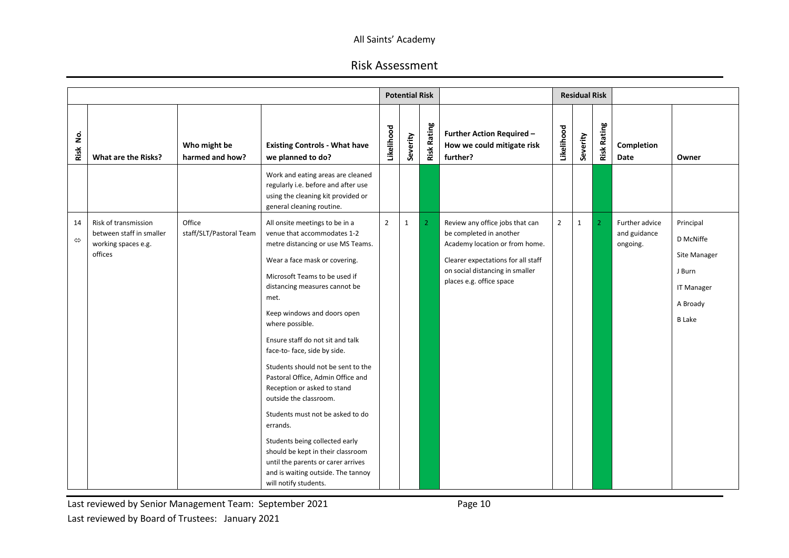# Risk Assessment

|                         |                                                                         |                                   |                                                                                                                                                                                                                                                                                                                                                                                                                                                                                                                                                                                              |                | <b>Potential Risk</b> |                    |                                                                                                   |                | <b>Residual Risk</b> |                    |                                            |                                                                          |
|-------------------------|-------------------------------------------------------------------------|-----------------------------------|----------------------------------------------------------------------------------------------------------------------------------------------------------------------------------------------------------------------------------------------------------------------------------------------------------------------------------------------------------------------------------------------------------------------------------------------------------------------------------------------------------------------------------------------------------------------------------------------|----------------|-----------------------|--------------------|---------------------------------------------------------------------------------------------------|----------------|----------------------|--------------------|--------------------------------------------|--------------------------------------------------------------------------|
| غ<br>S<br>Risk          | What are the Risks?                                                     | Who might be<br>harmed and how?   | <b>Existing Controls - What have</b><br>we planned to do?                                                                                                                                                                                                                                                                                                                                                                                                                                                                                                                                    | Likelihood     | Severity              | <b>Risk Rating</b> | <b>Further Action Required -</b><br>How we could mitigate risk<br>further?                        | Likelihood     | Severity             | <b>Risk Rating</b> | Completion<br>Date                         | Owner                                                                    |
|                         |                                                                         |                                   | Work and eating areas are cleaned<br>regularly i.e. before and after use<br>using the cleaning kit provided or<br>general cleaning routine.                                                                                                                                                                                                                                                                                                                                                                                                                                                  |                |                       |                    |                                                                                                   |                |                      |                    |                                            |                                                                          |
| 14<br>$\Leftrightarrow$ | Risk of transmission<br>between staff in smaller<br>working spaces e.g. | Office<br>staff/SLT/Pastoral Team | All onsite meetings to be in a<br>venue that accommodates 1-2<br>metre distancing or use MS Teams.                                                                                                                                                                                                                                                                                                                                                                                                                                                                                           | $\overline{2}$ | $\mathbf{1}$          | $\overline{2}$     | Review any office jobs that can<br>be completed in another<br>Academy location or from home.      | $\overline{2}$ | $\mathbf{1}$         | $\overline{2}$     | Further advice<br>and guidance<br>ongoing. | Principal<br>D McNiffe                                                   |
|                         | offices                                                                 |                                   | Wear a face mask or covering.<br>Microsoft Teams to be used if<br>distancing measures cannot be<br>met.<br>Keep windows and doors open<br>where possible.<br>Ensure staff do not sit and talk<br>face-to-face, side by side.<br>Students should not be sent to the<br>Pastoral Office, Admin Office and<br>Reception or asked to stand<br>outside the classroom.<br>Students must not be asked to do<br>errands.<br>Students being collected early<br>should be kept in their classroom<br>until the parents or carer arrives<br>and is waiting outside. The tannoy<br>will notify students. |                |                       |                    | Clearer expectations for all staff<br>on social distancing in smaller<br>places e.g. office space |                |                      |                    |                                            | Site Manager<br>J Burn<br><b>IT Manager</b><br>A Broady<br><b>B</b> Lake |

Last reviewed by Senior Management Team: September 2021 **Page 10** Last reviewed by Board of Trustees: January 2021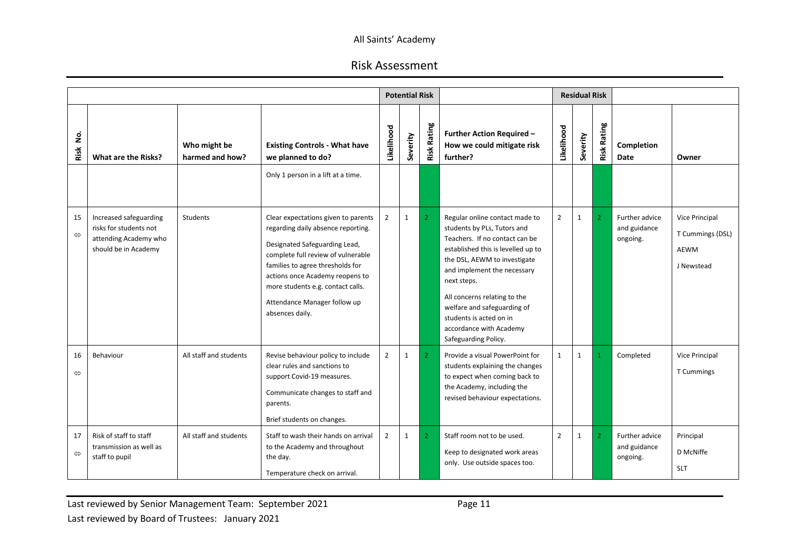|                         |                                                                                                   |                                 |                                                                                                                                                                                                                                                                                                                 |                | <b>Potential Risk</b> |                    |                                                                                                                                                                                                                                                                                                                                                                  |                | <b>Residual Risk</b> |                    |                                            |                                                                 |
|-------------------------|---------------------------------------------------------------------------------------------------|---------------------------------|-----------------------------------------------------------------------------------------------------------------------------------------------------------------------------------------------------------------------------------------------------------------------------------------------------------------|----------------|-----------------------|--------------------|------------------------------------------------------------------------------------------------------------------------------------------------------------------------------------------------------------------------------------------------------------------------------------------------------------------------------------------------------------------|----------------|----------------------|--------------------|--------------------------------------------|-----------------------------------------------------------------|
| .<br>2<br>Risk          | What are the Risks?                                                                               | Who might be<br>harmed and how? | <b>Existing Controls - What have</b><br>we planned to do?                                                                                                                                                                                                                                                       | Likelihood     | Severity              | <b>Risk Rating</b> | <b>Further Action Required -</b><br>How we could mitigate risk<br>further?                                                                                                                                                                                                                                                                                       | Likelihood     | everity              | <b>Risk Rating</b> | Completion<br>Date                         | Owner                                                           |
|                         |                                                                                                   |                                 | Only 1 person in a lift at a time.                                                                                                                                                                                                                                                                              |                |                       |                    |                                                                                                                                                                                                                                                                                                                                                                  |                |                      |                    |                                            |                                                                 |
| 15<br>$\Leftrightarrow$ | Increased safeguarding<br>risks for students not<br>attending Academy who<br>should be in Academy | Students                        | Clear expectations given to parents<br>regarding daily absence reporting.<br>Designated Safeguarding Lead,<br>complete full review of vulnerable<br>families to agree thresholds for<br>actions once Academy reopens to<br>more students e.g. contact calls.<br>Attendance Manager follow up<br>absences daily. | $\overline{2}$ | $\mathbf{1}$          | $\overline{2}$     | Regular online contact made to<br>students by PLs, Tutors and<br>Teachers. If no contact can be<br>established this is levelled up to<br>the DSL, AEWM to investigate<br>and implement the necessary<br>next steps.<br>All concerns relating to the<br>welfare and safeguarding of<br>students is acted on in<br>accordance with Academy<br>Safeguarding Policy. | $\overline{2}$ | 1                    | $\overline{2}$     | Further advice<br>and guidance<br>ongoing. | <b>Vice Principal</b><br>T Cummings (DSL)<br>AEWM<br>J Newstead |
| 16<br>$\Leftrightarrow$ | Behaviour                                                                                         | All staff and students          | Revise behaviour policy to include<br>clear rules and sanctions to<br>support Covid-19 measures.<br>Communicate changes to staff and<br>parents.<br>Brief students on changes.                                                                                                                                  | $\overline{2}$ | $\mathbf{1}$          | 2 <sup>1</sup>     | Provide a visual PowerPoint for<br>students explaining the changes<br>to expect when coming back to<br>the Academy, including the<br>revised behaviour expectations.                                                                                                                                                                                             | $\mathbf{1}$   | $\mathbf{1}$         |                    | Completed                                  | <b>Vice Principal</b><br>T Cummings                             |
| 17<br>$\Leftrightarrow$ | Risk of staff to staff<br>transmission as well as<br>staff to pupil                               | All staff and students          | Staff to wash their hands on arrival<br>to the Academy and throughout<br>the day.<br>Temperature check on arrival.                                                                                                                                                                                              | $\overline{2}$ | 1                     | $\overline{2}$     | Staff room not to be used.<br>Keep to designated work areas<br>only. Use outside spaces too.                                                                                                                                                                                                                                                                     | $\overline{2}$ | $\mathbf{1}$         | 2                  | Further advice<br>and guidance<br>ongoing. | Principal<br>D McNiffe<br><b>SLT</b>                            |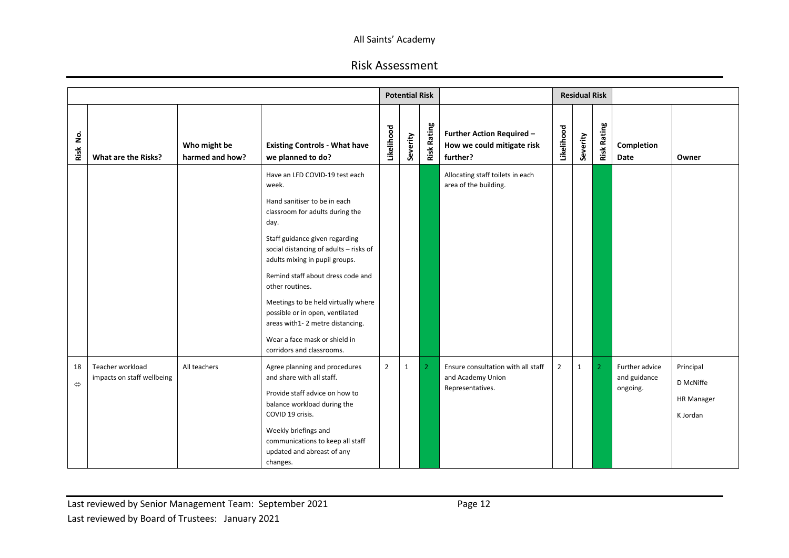|                         |                                                |                                 |                                                                                                                                                                                                                                                                                                                                                                                                                                                                     |                | <b>Potential Risk</b> |                    |                                                                             |                |               | <b>Residual Risk</b> |                                            |                                                         |
|-------------------------|------------------------------------------------|---------------------------------|---------------------------------------------------------------------------------------------------------------------------------------------------------------------------------------------------------------------------------------------------------------------------------------------------------------------------------------------------------------------------------------------------------------------------------------------------------------------|----------------|-----------------------|--------------------|-----------------------------------------------------------------------------|----------------|---------------|----------------------|--------------------------------------------|---------------------------------------------------------|
| غ<br>2<br>Risk          | What are the Risks?                            | Who might be<br>harmed and how? | <b>Existing Controls - What have</b><br>we planned to do?                                                                                                                                                                                                                                                                                                                                                                                                           | Likelihood     | Severity              | <b>Risk Rating</b> | <b>Further Action Required -</b><br>How we could mitigate risk<br>further?  | Likelihood     | everity<br>Ğ, | <b>Risk Rating</b>   | Completion<br>Date                         | Owner                                                   |
|                         |                                                |                                 | Have an LFD COVID-19 test each<br>week.<br>Hand sanitiser to be in each<br>classroom for adults during the<br>day.<br>Staff guidance given regarding<br>social distancing of adults - risks of<br>adults mixing in pupil groups.<br>Remind staff about dress code and<br>other routines.<br>Meetings to be held virtually where<br>possible or in open, ventilated<br>areas with1-2 metre distancing.<br>Wear a face mask or shield in<br>corridors and classrooms. |                |                       |                    | Allocating staff toilets in each<br>area of the building.                   |                |               |                      |                                            |                                                         |
| 18<br>$\Leftrightarrow$ | Teacher workload<br>impacts on staff wellbeing | All teachers                    | Agree planning and procedures<br>and share with all staff.<br>Provide staff advice on how to<br>balance workload during the<br>COVID 19 crisis.<br>Weekly briefings and<br>communications to keep all staff<br>updated and abreast of any<br>changes.                                                                                                                                                                                                               | $\overline{2}$ | $\mathbf{1}$          | $\overline{2}$     | Ensure consultation with all staff<br>and Academy Union<br>Representatives. | $\overline{2}$ | $\mathbf{1}$  | 2                    | Further advice<br>and guidance<br>ongoing. | Principal<br>D McNiffe<br><b>HR Manager</b><br>K Jordan |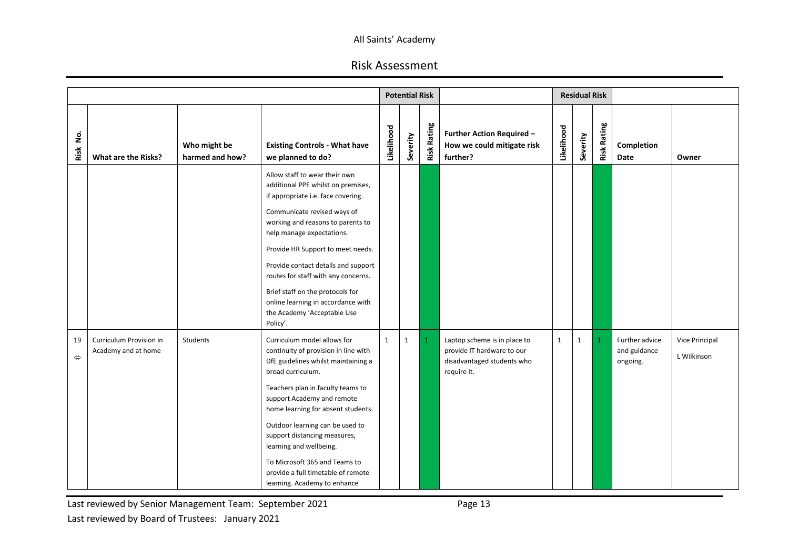# Risk Assessment

|                         |                                                |                                 |                                                                                                                                                                                                                                                                                                                                                                                                                                                    |              | <b>Potential Risk</b> |                    |                                                                                                         |              | <b>Residual Risk</b> |                    |                                            |                               |
|-------------------------|------------------------------------------------|---------------------------------|----------------------------------------------------------------------------------------------------------------------------------------------------------------------------------------------------------------------------------------------------------------------------------------------------------------------------------------------------------------------------------------------------------------------------------------------------|--------------|-----------------------|--------------------|---------------------------------------------------------------------------------------------------------|--------------|----------------------|--------------------|--------------------------------------------|-------------------------------|
| <u>o</u><br>Risk        | What are the Risks?                            | Who might be<br>harmed and how? | <b>Existing Controls - What have</b><br>we planned to do?                                                                                                                                                                                                                                                                                                                                                                                          | Likelihood   | Severity              | <b>Risk Rating</b> | <b>Further Action Required -</b><br>How we could mitigate risk<br>further?                              | Likelihood   | Severity             | <b>Risk Rating</b> | Completion<br>Date                         | Owner                         |
|                         |                                                |                                 | Allow staff to wear their own<br>additional PPE whilst on premises,<br>if appropriate i.e. face covering.<br>Communicate revised ways of<br>working and reasons to parents to<br>help manage expectations.<br>Provide HR Support to meet needs.<br>Provide contact details and support<br>routes for staff with any concerns.<br>Brief staff on the protocols for<br>online learning in accordance with<br>the Academy 'Acceptable Use<br>Policy'. |              |                       |                    |                                                                                                         |              |                      |                    |                                            |                               |
| 19<br>$\Leftrightarrow$ | Curriculum Provision in<br>Academy and at home | Students                        | Curriculum model allows for<br>continuity of provision in line with<br>DfE guidelines whilst maintaining a<br>broad curriculum.<br>Teachers plan in faculty teams to<br>support Academy and remote<br>home learning for absent students.<br>Outdoor learning can be used to<br>support distancing measures,<br>learning and wellbeing.<br>To Microsoft 365 and Teams to<br>provide a full timetable of remote<br>learning. Academy to enhance      | $\mathbf{1}$ | $\mathbf{1}$          |                    | Laptop scheme is in place to<br>provide IT hardware to our<br>disadvantaged students who<br>require it. | $\mathbf{1}$ | $\mathbf{1}$         |                    | Further advice<br>and guidance<br>ongoing. | Vice Principal<br>L Wilkinson |

Last reviewed by Senior Management Team: September 2021 **Page 13**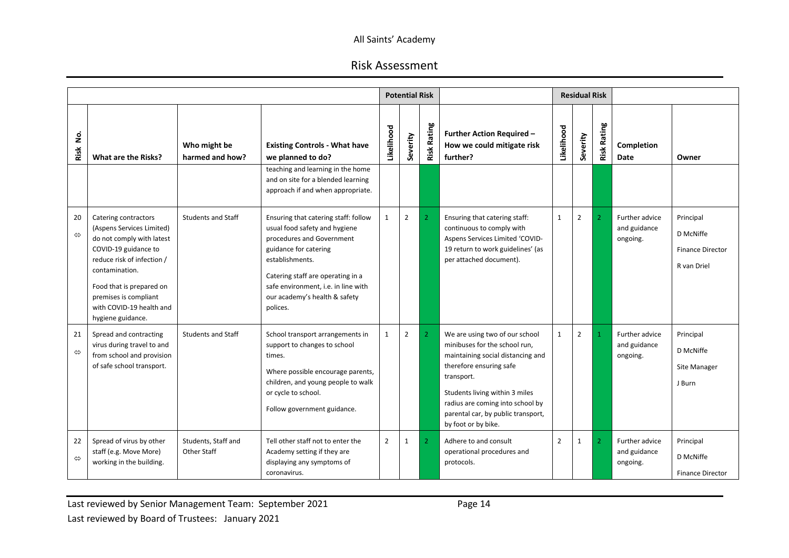|                         |                                                                                                                                                                                                                                                              |                                           |                                                                                                                                                                                                                                                                         |                | <b>Potential Risk</b> |                    |                                                                                                                                                                                                                                                                                  |                | <b>Residual Risk</b> |                    |                                            |                                                                  |
|-------------------------|--------------------------------------------------------------------------------------------------------------------------------------------------------------------------------------------------------------------------------------------------------------|-------------------------------------------|-------------------------------------------------------------------------------------------------------------------------------------------------------------------------------------------------------------------------------------------------------------------------|----------------|-----------------------|--------------------|----------------------------------------------------------------------------------------------------------------------------------------------------------------------------------------------------------------------------------------------------------------------------------|----------------|----------------------|--------------------|--------------------------------------------|------------------------------------------------------------------|
| غ<br>S<br>Risk          | What are the Risks?                                                                                                                                                                                                                                          | Who might be<br>harmed and how?           | <b>Existing Controls - What have</b><br>we planned to do?<br>teaching and learning in the home<br>and on site for a blended learning                                                                                                                                    | Likelihood     | Severity              | <b>Risk Rating</b> | <b>Further Action Required -</b><br>How we could mitigate risk<br>further?                                                                                                                                                                                                       | Likelihood     | Severity             | <b>Risk Rating</b> | Completion<br>Date                         | Owner                                                            |
|                         |                                                                                                                                                                                                                                                              |                                           | approach if and when appropriate.                                                                                                                                                                                                                                       |                |                       |                    |                                                                                                                                                                                                                                                                                  |                |                      |                    |                                            |                                                                  |
| 20<br>$\Leftrightarrow$ | Catering contractors<br>(Aspens Services Limited)<br>do not comply with latest<br>COVID-19 guidance to<br>reduce risk of infection /<br>contamination.<br>Food that is prepared on<br>premises is compliant<br>with COVID-19 health and<br>hygiene guidance. | <b>Students and Staff</b>                 | Ensuring that catering staff: follow<br>usual food safety and hygiene<br>procedures and Government<br>guidance for catering<br>establishments.<br>Catering staff are operating in a<br>safe environment, i.e. in line with<br>our academy's health & safety<br>polices. | $\mathbf{1}$   | $\overline{2}$        | $\overline{2}$     | Ensuring that catering staff:<br>continuous to comply with<br>Aspens Services Limited 'COVID-<br>19 return to work guidelines' (as<br>per attached document).                                                                                                                    | $\mathbf{1}$   | $\overline{2}$       | $\overline{2}$     | Further advice<br>and guidance<br>ongoing. | Principal<br>D McNiffe<br><b>Finance Director</b><br>R van Driel |
| 21<br>$\Leftrightarrow$ | Spread and contracting<br>virus during travel to and<br>from school and provision<br>of safe school transport.                                                                                                                                               | <b>Students and Staff</b>                 | School transport arrangements in<br>support to changes to school<br>times.<br>Where possible encourage parents,<br>children, and young people to walk<br>or cycle to school.<br>Follow government guidance.                                                             | $\mathbf{1}$   | $\overline{2}$        | $\overline{2}$     | We are using two of our school<br>minibuses for the school run,<br>maintaining social distancing and<br>therefore ensuring safe<br>transport.<br>Students living within 3 miles<br>radius are coming into school by<br>parental car, by public transport,<br>by foot or by bike. | $\mathbf{1}$   | $\overline{2}$       |                    | Further advice<br>and guidance<br>ongoing. | Principal<br>D McNiffe<br>Site Manager<br>J Burn                 |
| 22<br>$\Leftrightarrow$ | Spread of virus by other<br>staff (e.g. Move More)<br>working in the building.                                                                                                                                                                               | Students, Staff and<br><b>Other Staff</b> | Tell other staff not to enter the<br>Academy setting if they are<br>displaying any symptoms of<br>coronavirus.                                                                                                                                                          | $\overline{2}$ | 1                     | $\overline{2}$     | Adhere to and consult<br>operational procedures and<br>protocols.                                                                                                                                                                                                                | $\overline{2}$ | $\mathbf{1}$         | $\overline{2}$     | Further advice<br>and guidance<br>ongoing. | Principal<br>D McNiffe<br><b>Finance Director</b>                |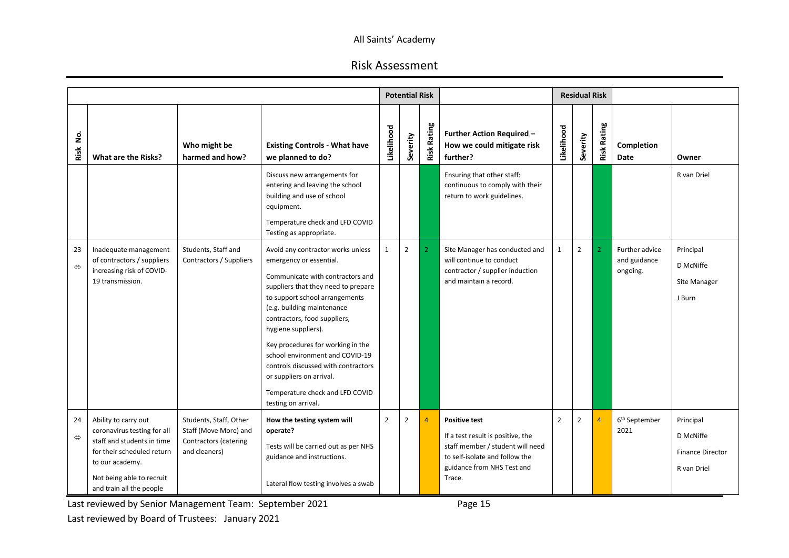# Risk Assessment

|                         |                                                                                                                                                                                             |                                                                                           |                                                                                                                                                                                                                                                                                                                                                                                                                                                                     |                | <b>Potential Risk</b> |                    |                                                                                                                                                                         |                | <b>Residual Risk</b> |                    |                                            |                                                                  |
|-------------------------|---------------------------------------------------------------------------------------------------------------------------------------------------------------------------------------------|-------------------------------------------------------------------------------------------|---------------------------------------------------------------------------------------------------------------------------------------------------------------------------------------------------------------------------------------------------------------------------------------------------------------------------------------------------------------------------------------------------------------------------------------------------------------------|----------------|-----------------------|--------------------|-------------------------------------------------------------------------------------------------------------------------------------------------------------------------|----------------|----------------------|--------------------|--------------------------------------------|------------------------------------------------------------------|
| غ<br>S<br>Risk          | What are the Risks?                                                                                                                                                                         | Who might be<br>harmed and how?                                                           | <b>Existing Controls - What have</b><br>we planned to do?                                                                                                                                                                                                                                                                                                                                                                                                           | Likelihood     | Severity              | <b>Risk Rating</b> | <b>Further Action Required -</b><br>How we could mitigate risk<br>further?                                                                                              | Likelihood     | everity              | <b>Risk Rating</b> | Completion<br>Date                         | Owner                                                            |
|                         |                                                                                                                                                                                             |                                                                                           | Discuss new arrangements for<br>entering and leaving the school<br>building and use of school<br>equipment.<br>Temperature check and LFD COVID<br>Testing as appropriate.                                                                                                                                                                                                                                                                                           |                |                       |                    | Ensuring that other staff:<br>continuous to comply with their<br>return to work guidelines.                                                                             |                |                      |                    |                                            | R van Driel                                                      |
| 23<br>$\Leftrightarrow$ | Inadequate management<br>of contractors / suppliers<br>increasing risk of COVID-<br>19 transmission.                                                                                        | Students, Staff and<br>Contractors / Suppliers                                            | Avoid any contractor works unless<br>emergency or essential.<br>Communicate with contractors and<br>suppliers that they need to prepare<br>to support school arrangements<br>(e.g. building maintenance<br>contractors, food suppliers,<br>hygiene suppliers).<br>Key procedures for working in the<br>school environment and COVID-19<br>controls discussed with contractors<br>or suppliers on arrival.<br>Temperature check and LFD COVID<br>testing on arrival. | $\mathbf{1}$   | $\overline{2}$        | $\overline{2}$     | Site Manager has conducted and<br>will continue to conduct<br>contractor / supplier induction<br>and maintain a record.                                                 | $\mathbf{1}$   | $\overline{2}$       | $\overline{2}$     | Further advice<br>and guidance<br>ongoing. | Principal<br>D McNiffe<br>Site Manager<br>J Burn                 |
| 24<br>$\Leftrightarrow$ | Ability to carry out<br>coronavirus testing for all<br>staff and students in time<br>for their scheduled return<br>to our academy.<br>Not being able to recruit<br>and train all the people | Students, Staff, Other<br>Staff (Move More) and<br>Contractors (catering<br>and cleaners) | How the testing system will<br>operate?<br>Tests will be carried out as per NHS<br>guidance and instructions.<br>Lateral flow testing involves a swab                                                                                                                                                                                                                                                                                                               | $\overline{2}$ | $\overline{2}$        | $\overline{4}$     | <b>Positive test</b><br>If a test result is positive, the<br>staff member / student will need<br>to self-isolate and follow the<br>guidance from NHS Test and<br>Trace. | $\overline{2}$ | $\overline{2}$       | $\overline{4}$     | 6 <sup>th</sup> September<br>2021          | Principal<br>D McNiffe<br><b>Finance Director</b><br>R van Driel |

Last reviewed by Senior Management Team: September 2021 **Page 15** 

Last reviewed by Board of Trustees: January 2021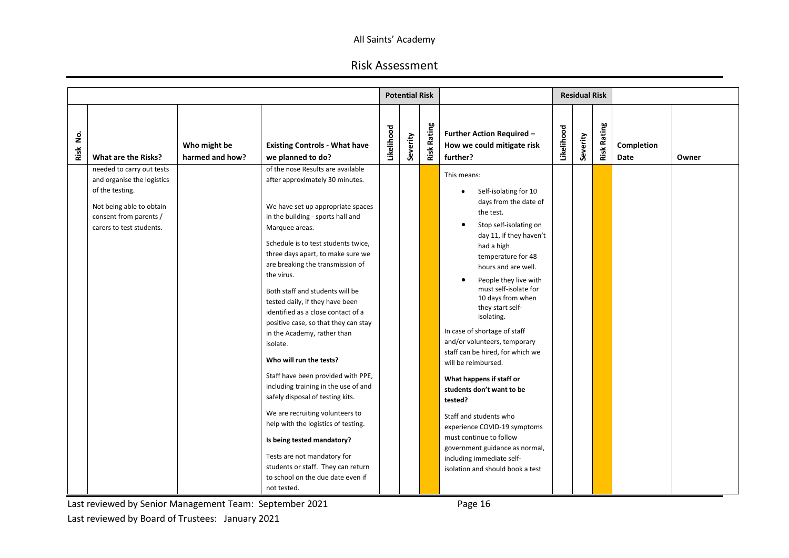# Risk Assessment

|           |                                                                                                                                                              |                                 |                                                                                                                                                                                                                                                                                                                                                                                                                                                                                                                                                                                                                                                                                                                                                                                                                                                                             |            | <b>Potential Risk</b> |                    |                                                                                                                                                                                                                                                                                                                                                                                                                                                                                                                                                                                                                                                                                                 |            | <b>Residual Risk</b> |                    |                    |       |
|-----------|--------------------------------------------------------------------------------------------------------------------------------------------------------------|---------------------------------|-----------------------------------------------------------------------------------------------------------------------------------------------------------------------------------------------------------------------------------------------------------------------------------------------------------------------------------------------------------------------------------------------------------------------------------------------------------------------------------------------------------------------------------------------------------------------------------------------------------------------------------------------------------------------------------------------------------------------------------------------------------------------------------------------------------------------------------------------------------------------------|------------|-----------------------|--------------------|-------------------------------------------------------------------------------------------------------------------------------------------------------------------------------------------------------------------------------------------------------------------------------------------------------------------------------------------------------------------------------------------------------------------------------------------------------------------------------------------------------------------------------------------------------------------------------------------------------------------------------------------------------------------------------------------------|------------|----------------------|--------------------|--------------------|-------|
| ş<br>Risk | What are the Risks?                                                                                                                                          | Who might be<br>harmed and how? | <b>Existing Controls - What have</b><br>we planned to do?                                                                                                                                                                                                                                                                                                                                                                                                                                                                                                                                                                                                                                                                                                                                                                                                                   | Likelihood | Severity              | <b>Risk Rating</b> | <b>Further Action Required -</b><br>How we could mitigate risk<br>further?                                                                                                                                                                                                                                                                                                                                                                                                                                                                                                                                                                                                                      | Likelihood | Severity             | <b>Risk Rating</b> | Completion<br>Date | Owner |
|           | needed to carry out tests<br>and organise the logistics<br>of the testing.<br>Not being able to obtain<br>consent from parents /<br>carers to test students. |                                 | of the nose Results are available<br>after approximately 30 minutes.<br>We have set up appropriate spaces<br>in the building - sports hall and<br>Marquee areas.<br>Schedule is to test students twice,<br>three days apart, to make sure we<br>are breaking the transmission of<br>the virus.<br>Both staff and students will be<br>tested daily, if they have been<br>identified as a close contact of a<br>positive case, so that they can stay<br>in the Academy, rather than<br>isolate.<br>Who will run the tests?<br>Staff have been provided with PPE,<br>including training in the use of and<br>safely disposal of testing kits.<br>We are recruiting volunteers to<br>help with the logistics of testing.<br>Is being tested mandatory?<br>Tests are not mandatory for<br>students or staff. They can return<br>to school on the due date even if<br>not tested. |            |                       |                    | This means:<br>Self-isolating for 10<br>٠<br>days from the date of<br>the test.<br>Stop self-isolating on<br>day 11, if they haven't<br>had a high<br>temperature for 48<br>hours and are well.<br>People they live with<br>must self-isolate for<br>10 days from when<br>they start self-<br>isolating.<br>In case of shortage of staff<br>and/or volunteers, temporary<br>staff can be hired, for which we<br>will be reimbursed.<br>What happens if staff or<br>students don't want to be<br>tested?<br>Staff and students who<br>experience COVID-19 symptoms<br>must continue to follow<br>government guidance as normal,<br>including immediate self-<br>isolation and should book a test |            |                      |                    |                    |       |

Last reviewed by Senior Management Team: September 2021 **Page 16** Last reviewed by Board of Trustees: January 2021